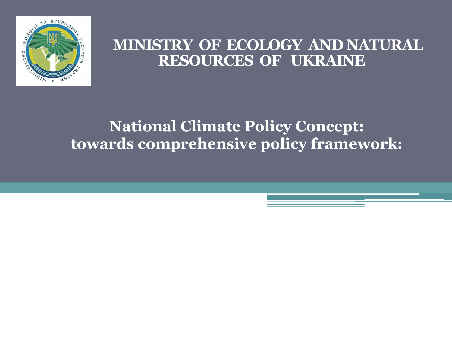

### **MINISTRY OF ECOLOGY AND NATURAL RESOURCES OF UKRAINE**

## **National Climate Policy Concept: towards comprehensive policy framework:**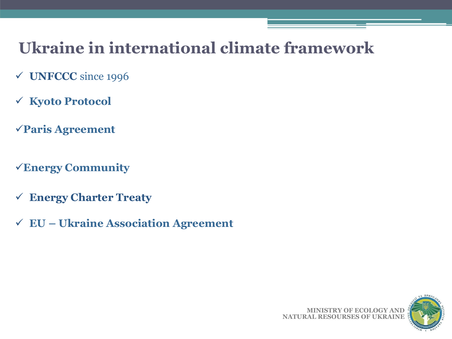## **Ukraine in international climate framework**

- ü **UNFCCC** since 1996
- ü **Kyoto Protocol**
- ü**Paris Agreement**
- ü**Energy Community**
- ü **Energy Charter Treaty**
- ü **EU Ukraine Association Agreement**

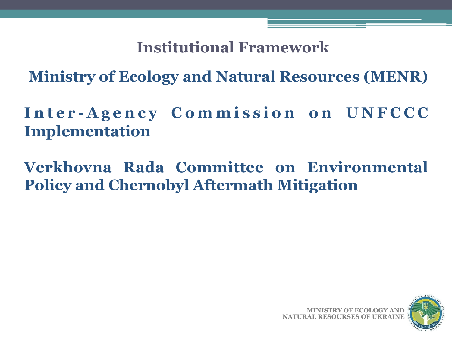**Institutional Framework**

**Ministry of Ecology and Natural Resources (MENR)** 

Inter-Agency Commission on UNFCCC **Implementation**

**Verkhovna Rada Committee on Environmental Policy and Chernobyl Aftermath Mitigation** 

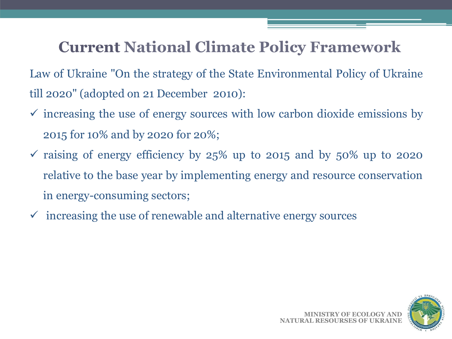## **Current National Climate Policy Framework**

Law of Ukraine "On the strategy of the State Environmental Policy of Ukraine till 2020" (adopted on 21 December 2010):

- $\checkmark$  increasing the use of energy sources with low carbon dioxide emissions by 2015 for 10% and by 2020 for 20%;
- $\checkmark$  raising of energy efficiency by 25% up to 2015 and by 50% up to 2020 relative to the base year by implementing energy and resource conservation in energy-consuming sectors;
- $\checkmark$  increasing the use of renewable and alternative energy sources

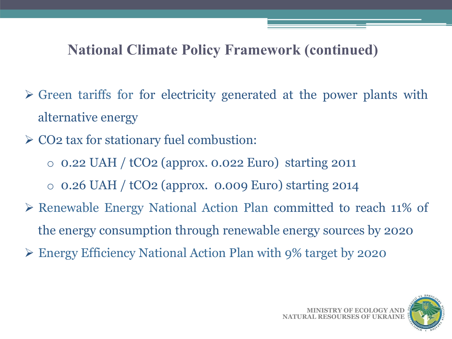## **National Climate Policy Framework (continued)**

- $\triangleright$  Green tariffs for for electricity generated at the power plants with alternative energy
- $\geq$  CO2 tax for stationary fuel combustion:
	- o 0.22 UAH / tCO2 (approx. 0.022 Euro) starting 2011
	- $\circ$  0.26 UAH / tCO2 (approx. 0.009 Euro) starting 2014
- Ø Renewable Energy National Action Plan committed to reach 11% of the energy consumption through renewable energy sources by 2020
- Ø Energy Efficiency National Action Plan with 9% target by 2020

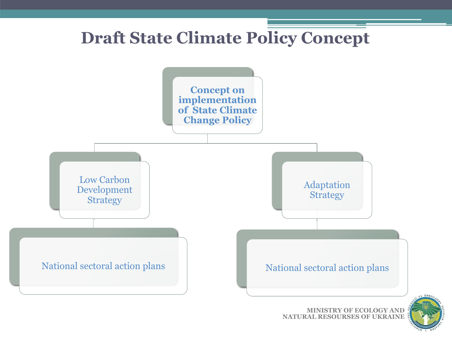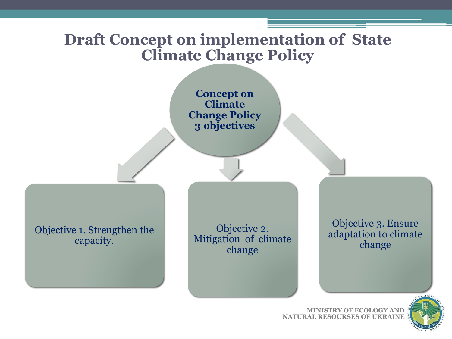## **Draft Concept on implementation of State Climate Change Policy**





**MINISTRY OF ECOLOGY AND NATURAL RESOURSES OF UKRAINE**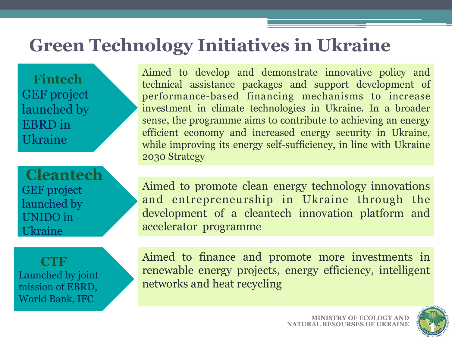## **Green Technology Initiatives in Ukraine**

 **Fintech**  GEF project launched by EBRD in Ukraine

**Cleantech**  GEF project launched by UNIDO in Ukraine

 **CTF**  Launched by joint mission of EBRD, World Bank, IFC

Aimed to develop and demonstrate innovative policy and technical assistance packages and support development of performance-based financing mechanisms to increase investment in climate technologies in Ukraine. In a broader sense, the programme aims to contribute to achieving an energy efficient economy and increased energy security in Ukraine, while improving its energy self-sufficiency, in line with Ukraine 2030 Strategy

Aimed to promote clean energy technology innovations and entrepreneurship in Ukraine through the development of a cleantech innovation platform and accelerator programme

Aimed to finance and promote more investments in renewable energy projects, energy efficiency, intelligent networks and heat recycling

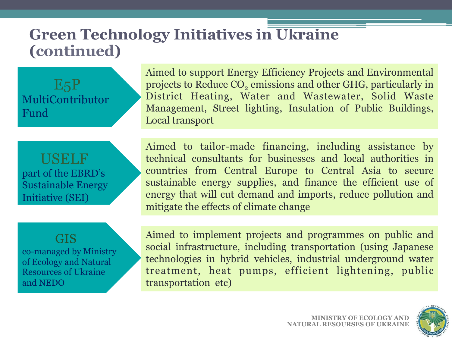## **Green Technology Initiatives in Ukraine (continued)**

E5P MultiContributor Fund

Aimed to support Energy Efficiency Projects and Environmental projects to Reduce CO<sub>2</sub> emissions and other GHG, particularly in District Heating, Water and Wastewater, Solid Waste Management, Street lighting, Insulation of Public Buildings, Local transport

 USELF part of the EBRD's Sustainable Energy Initiative (SEI)

GIS co-managed by Ministry of Ecology and Natural Resources of Ukraine and NEDO

Aimed to tailor-made financing, including assistance by technical consultants for businesses and local authorities in countries from Central Europe to Central Asia to secure sustainable energy supplies, and finance the efficient use of energy that will cut demand and imports, reduce pollution and mitigate the effects of climate change

Aimed to implement projects and programmes on public and social infrastructure, including transportation (using Japanese technologies in hybrid vehicles, industrial underground water treatment, heat pumps, efficient lightening, public transportation etc)